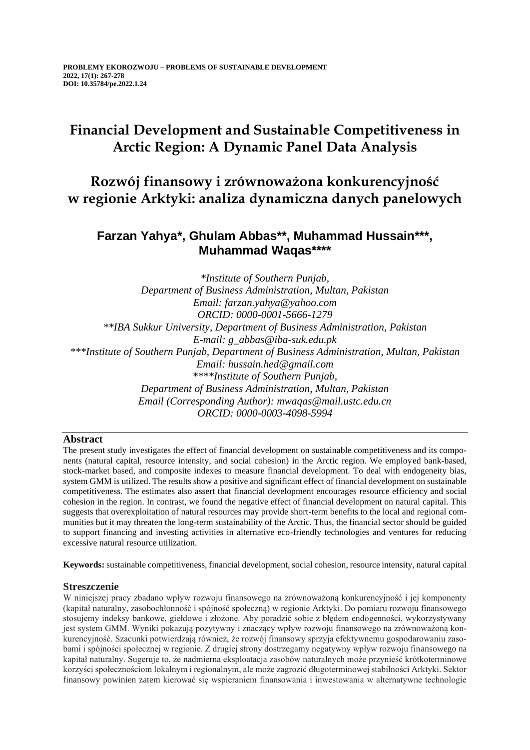# **Financial Development and Sustainable Competitiveness in Arctic Region: A Dynamic Panel Data Analysis**

**Rozwój finansowy i zrównoważona konkurencyjność w regionie Arktyki: analiza dynamiczna danych panelowych**

## **Farzan Yahya\*, Ghulam Abbas\*\*, Muhammad Hussain\*\*\*, Muhammad Waqas\*\*\*\***

*\*Institute of Southern Punjab, Department of Business Administration, Multan, Pakistan Email: farzan.yahya@yahoo.com ORCID: 0000-0001-5666-1279 \*\*IBA Sukkur University, Department of Business Administration, Pakistan E-mail: g\_abbas@iba-suk.edu.pk \*\*\*Institute of Southern Punjab, Department of Business Administration, Multan, Pakistan Email: hussain.hed@gmail.com \*\*\*\*Institute of Southern Punjab, Department of Business Administration, Multan, Pakistan Email (Corresponding Author): mwaqas@mail.ustc.edu.cn ORCID: 0000-0003-4098-5994*

## **Abstract**

The present study investigates the effect of financial development on sustainable competitiveness and its components (natural capital, resource intensity, and social cohesion) in the Arctic region. We employed bank-based, stock-market based, and composite indexes to measure financial development. To deal with endogeneity bias, system GMM is utilized. The results show a positive and significant effect of financial development on sustainable competitiveness. The estimates also assert that financial development encourages resource efficiency and social cohesion in the region. In contrast, we found the negative effect of financial development on natural capital. This suggests that overexploitation of natural resources may provide short-term benefits to the local and regional communities but it may threaten the long-term sustainability of the Arctic. Thus, the financial sector should be guided to support financing and investing activities in alternative eco-friendly technologies and ventures for reducing excessive natural resource utilization.

**Keywords:** sustainable competitiveness, financial development, social cohesion, resource intensity, natural capital

## **Streszczenie**

W niniejszej pracy zbadano wpływ rozwoju finansowego na zrównoważoną konkurencyjność i jej komponenty (kapitał naturalny, zasobochłonność i spójność społeczną) w regionie Arktyki. Do pomiaru rozwoju finansowego stosujemy indeksy bankowe, giełdowe i złożone. Aby poradzić sobie z błędem endogenności, wykorzystywany jest system GMM. Wyniki pokazują pozytywny i znaczący wpływ rozwoju finansowego na zrównoważoną konkurencyjność. Szacunki potwierdzają również, że rozwój finansowy sprzyja efektywnemu gospodarowaniu zasobami i spójności społecznej w regionie. Z drugiej strony dostrzegamy negatywny wpływ rozwoju finansowego na kapitał naturalny. Sugeruje to, że nadmierna eksploatacja zasobów naturalnych może przynieść krótkoterminowe korzyści społecznościom lokalnym i regionalnym, ale może zagrozić długoterminowej stabilności Arktyki. Sektor finansowy powinien zatem kierować się wspieraniem finansowania i inwestowania w alternatywne technologie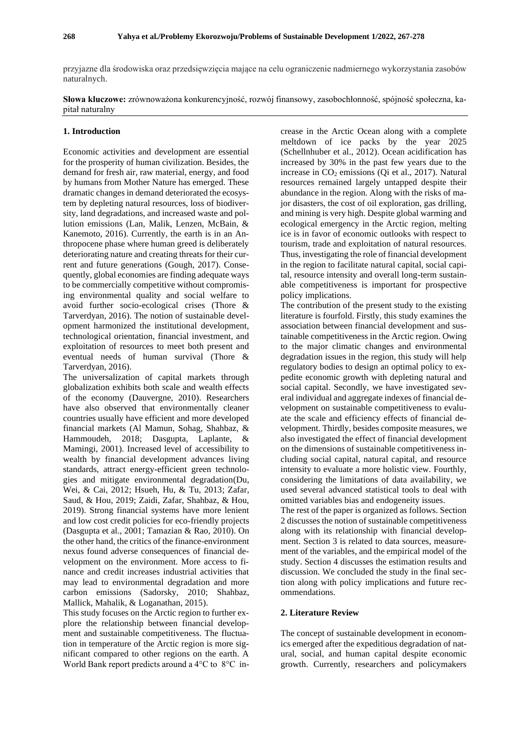przyjazne dla środowiska oraz przedsięwzięcia mające na celu ograniczenie nadmiernego wykorzystania zasobów naturalnych.

**Słowa kluczowe:** zrównoważona konkurencyjność, rozwój finansowy, zasobochłonność, spójność społeczna, kapitał naturalny

#### **1. Introduction**

Economic activities and development are essential for the prosperity of human civilization. Besides, the demand for fresh air, raw material, energy, and food by humans from Mother Nature has emerged. These dramatic changes in demand deteriorated the ecosystem by depleting natural resources, loss of biodiversity, land degradations, and increased waste and pollution emissions [\(Lan, Malik, Lenzen, McBain, &](#page-10-0)  [Kanemoto, 2016\)](#page-10-0). Currently, the earth is in an Anthropocene phase where human greed is deliberately deteriorating nature and creating threats for their current and future generations [\(Gough, 2017\)](#page-10-1). Consequently, global economies are finding adequate ways to be commercially competitive without compromising environmental quality and social welfare to avoid further socio-ecological crises [\(Thore &](#page-10-2)  [Tarverdyan, 2016\)](#page-10-2). The notion of sustainable development harmonized the institutional development, technological orientation, financial investment, and exploitation of resources to meet both present and eventual needs of human survival [\(Thore &](#page-10-2)  [Tarverdyan, 2016\)](#page-10-2).

The universalization of capital markets through globalization exhibits both scale and wealth effects of the economy [\(Dauvergne, 2010\)](#page-9-0). Researchers have also observed that environmentally cleaner countries usually have efficient and more developed financial markets [\(Al Mamun, Sohag, Shahbaz, &](#page-9-1)  [Hammoudeh, 2018;](#page-9-1) [Dasgupta, Laplante, &](#page-9-2)  [Mamingi, 2001\)](#page-9-2). Increased level of accessibility to wealth by financial development advances living standards, attract energy-efficient green technologies and mitigate environmental degradation[\(Du,](#page-9-3)  [Wei, & Cai, 2012;](#page-9-3) [Hsueh, Hu, & Tu, 2013;](#page-10-3) [Zafar,](#page-11-0)  [Saud, & Hou, 2019;](#page-11-0) [Zaidi, Zafar, Shahbaz, & Hou,](#page-11-1)  [2019\)](#page-11-1). Strong financial systems have more lenient and low cost credit policies for eco-friendly projects [\(Dasgupta et al., 2001;](#page-9-2) [Tamazian & Rao, 2010\)](#page-10-4). On the other hand, the critics of the finance-environment nexus found adverse consequences of financial development on the environment. More access to finance and credit increases industrial activities that may lead to environmental degradation and more carbon emissions [\(Sadorsky, 2010;](#page-10-5) [Shahbaz,](#page-10-6)  [Mallick, Mahalik, & Loganathan, 2015\)](#page-10-6).

This study focuses on the Arctic region to further explore the relationship between financial development and sustainable competitiveness. The fluctuation in temperature of the Arctic region is more significant compared to other regions on the earth. A World Bank report predicts around a 4°C to 8°C in-

crease in the Arctic Ocean along with a complete meltdown of ice packs by the year 2025 [\(Schellnhuber et al., 2012\)](#page-10-7). Ocean acidification has increased by 30% in the past few years due to the increase in  $CO<sub>2</sub>$  emissions (Oi et al., 2017). Natural resources remained largely untapped despite their abundance in the region. Along with the risks of major disasters, the cost of oil exploration, gas drilling, and mining is very high. Despite global warming and ecological emergency in the Arctic region, melting ice is in favor of economic outlooks with respect to tourism, trade and exploitation of natural resources. Thus, investigating the role of financial development in the region to facilitate natural capital, social capital, resource intensity and overall long-term sustainable competitiveness is important for prospective policy implications.

The contribution of the present study to the existing literature is fourfold. Firstly, this study examines the association between financial development and sustainable competitiveness in the Arctic region. Owing to the major climatic changes and environmental degradation issues in the region, this study will help regulatory bodies to design an optimal policy to expedite economic growth with depleting natural and social capital. Secondly, we have investigated several individual and aggregate indexes of financial development on sustainable competitiveness to evaluate the scale and efficiency effects of financial development. Thirdly, besides composite measures, we also investigated the effect of financial development on the dimensions of sustainable competitiveness including social capital, natural capital, and resource intensity to evaluate a more holistic view. Fourthly, considering the limitations of data availability, we used several advanced statistical tools to deal with omitted variables bias and endogeneity issues.

The rest of the paper is organized as follows. Section 2 discusses the notion of sustainable competitiveness along with its relationship with financial development. Section 3 is related to data sources, measurement of the variables, and the empirical model of the study. Section 4 discusses the estimation results and discussion. We concluded the study in the final section along with policy implications and future recommendations.

#### **2. Literature Review**

The concept of sustainable development in economics emerged after the expeditious degradation of natural, social, and human capital despite economic growth. Currently, researchers and policymakers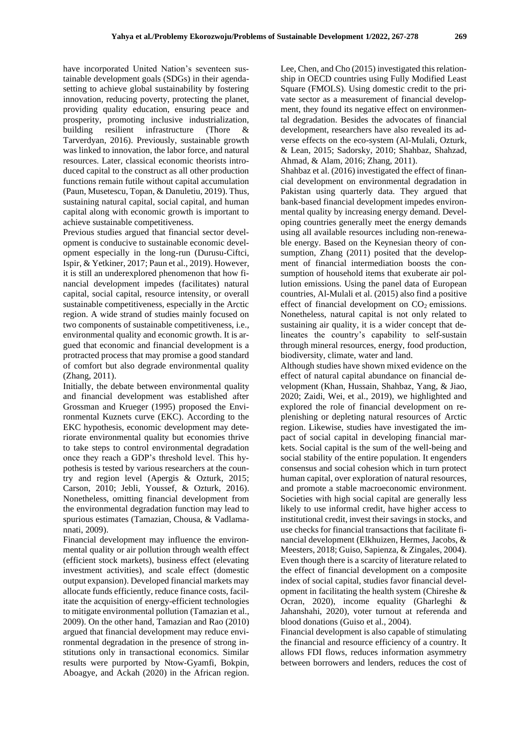have incorporated United Nation's seventeen sustainable development goals (SDGs) in their agendasetting to achieve global sustainability by fostering innovation, reducing poverty, protecting the planet, providing quality education, ensuring peace and prosperity, promoting inclusive industrialization, building resilient infrastructure [\(Thore &](#page-10-2)  [Tarverdyan, 2016\)](#page-10-2). Previously, sustainable growth was linked to innovation, the labor force, and natural resources. Later, classical economic theorists introduced capital to the construct as all other production functions remain futile without capital accumulation [\(Paun, Musetescu, Topan, & Danuletiu, 2019\)](#page-10-9). Thus, sustaining natural capital, social capital, and human capital along with economic growth is important to achieve sustainable competitiveness.

Previous studies argued that financial sector development is conducive to sustainable economic development especially in the long-run [\(Durusu-Ciftci,](#page-9-4)  [Ispir, & Yetkiner, 2017;](#page-9-4) [Paun et al., 2019\)](#page-10-9). However, it is still an underexplored phenomenon that how financial development impedes (facilitates) natural capital, social capital, resource intensity, or overall sustainable competitiveness, especially in the Arctic region. A wide strand of studies mainly focused on two components of sustainable competitiveness, i.e., environmental quality and economic growth. It is argued that economic and financial development is a protracted process that may promise a good standard of comfort but also degrade environmental quality [\(Zhang, 2011\)](#page-11-2).

Initially, the debate between environmental quality and financial development was established after Grossman and Krueger (1995) proposed the Environmental Kuznets curve (EKC). According to the EKC hypothesis, economic development may deteriorate environmental quality but economies thrive to take steps to control environmental degradation once they reach a GDP's threshold level. This hypothesis is tested by various researchers at the country and region level [\(Apergis & Ozturk, 2015;](#page-9-5) [Carson, 2010;](#page-9-6) [Jebli, Youssef, & Ozturk, 2016\)](#page-10-10). Nonetheless, omitting financial development from the environmental degradation function may lead to spurious estimates [\(Tamazian, Chousa, & Vadlama](#page-10-11)[nnati, 2009\)](#page-10-11).

Financial development may influence the environmental quality or air pollution through wealth effect (efficient stock markets), business effect (elevating investment activities), and scale effect (domestic output expansion). Developed financial markets may allocate funds efficiently, reduce finance costs, facilitate the acquisition of energy-efficient technologies to mitigate environmental pollution [\(Tamazian et al.,](#page-10-11)  [2009\)](#page-10-11). On the other hand, [Tamazian and Rao \(2010\)](#page-10-4) argued that financial development may reduce environmental degradation in the presence of strong institutions only in transactional economics. Similar results were purported by [Ntow-Gyamfi, Bokpin,](#page-10-12)  [Aboagye, and Ackah \(2020\)](#page-10-12) in the African region.

[Lee, Chen, and Cho \(2015\)](#page-10-13) investigated this relationship in OECD countries using Fully Modified Least Square (FMOLS). Using domestic credit to the private sector as a measurement of financial development, they found its negative effect on environmental degradation. Besides the advocates of financial development, researchers have also revealed its adverse effects on the eco-system [\(Al-Mulali, Ozturk,](#page-9-7)  [& Lean, 2015;](#page-9-7) [Sadorsky, 2010;](#page-10-5) [Shahbaz, Shahzad,](#page-10-14)  [Ahmad, & Alam, 2016;](#page-10-14) [Zhang, 2011\)](#page-11-2).

[Shahbaz et al. \(2016\)](#page-10-14) investigated the effect of financial development on environmental degradation in Pakistan using quarterly data. They argued that bank-based financial development impedes environmental quality by increasing energy demand. Developing countries generally meet the energy demands using all available resources including non-renewable energy. Based on the Keynesian theory of consumption, [Zhang \(2011\)](#page-11-2) posited that the development of financial intermediation boosts the consumption of household items that exuberate air pollution emissions. Using the panel data of European countries[, Al-Mulali et al. \(2015\)](#page-9-7) also find a positive effect of financial development on  $CO<sub>2</sub>$  emissions. Nonetheless, natural capital is not only related to sustaining air quality, it is a wider concept that delineates the country's capability to self-sustain through mineral resources, energy, food production, biodiversity, climate, water and land.

Although studies have shown mixed evidence on the effect of natural capital abundance on financial development [\(Khan, Hussain, Shahbaz, Yang, & Jiao,](#page-10-15)  [2020;](#page-10-15) [Zaidi, Wei, et al., 2019\)](#page-11-3), we highlighted and explored the role of financial development on replenishing or depleting natural resources of Arctic region. Likewise, studies have investigated the impact of social capital in developing financial markets. Social capital is the sum of the well-being and social stability of the entire population. It engenders consensus and social cohesion which in turn protect human capital, over exploration of natural resources, and promote a stable macroeconomic environment. Societies with high social capital are generally less likely to use informal credit, have higher access to institutional credit, invest their savings in stocks, and use checks for financial transactions that facilitate financial development [\(Elkhuizen, Hermes, Jacobs, &](#page-9-8)  [Meesters, 2018;](#page-9-8) [Guiso, Sapienza, & Zingales, 2004\)](#page-10-16). Even though there is a scarcity of literature related to the effect of financial development on a composite index of social capital, studies favor financial development in facilitating the health system (Chireshe  $\&$ [Ocran, 2020\)](#page-9-9), income equality [\(Gharleghi &](#page-9-10)  [Jahanshahi, 2020\)](#page-9-10), voter turnout at referenda and blood donations [\(Guiso et al., 2004\)](#page-10-16).

Financial development is also capable of stimulating the financial and resource efficiency of a country. It allows FDI flows, reduces information asymmetry between borrowers and lenders, reduces the cost of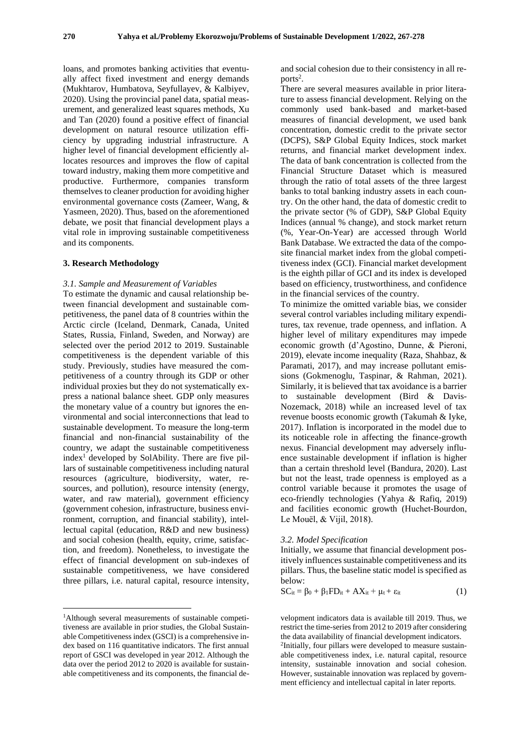loans, and promotes banking activities that eventually affect fixed investment and energy demands [\(Mukhtarov, Humbatova, Seyfullayev, & Kalbiyev,](#page-10-17)  [2020\)](#page-10-17). Using the provincial panel data, spatial measurement, and generalized least squares methods, [Xu](#page-10-18)  [and Tan \(2020\)](#page-10-18) found a positive effect of financial development on natural resource utilization efficiency by upgrading industrial infrastructure. A higher level of financial development efficiently allocates resources and improves the flow of capital toward industry, making them more competitive and productive. Furthermore, companies transform themselves to cleaner production for avoiding higher environmental governance costs [\(Zameer, Wang, &](#page-11-4)  [Yasmeen, 2020\)](#page-11-4). Thus, based on the aforementioned debate, we posit that financial development plays a vital role in improving sustainable competitiveness and its components.

#### **3. Research Methodology**

#### *3.1. Sample and Measurement of Variables*

To estimate the dynamic and causal relationship between financial development and sustainable competitiveness, the panel data of 8 countries within the Arctic circle (Iceland, Denmark, Canada, United States, Russia, Finland, Sweden, and Norway) are selected over the period 2012 to 2019. Sustainable competitiveness is the dependent variable of this study. Previously, studies have measured the competitiveness of a country through its GDP or other individual proxies but they do not systematically express a national balance sheet. GDP only measures the monetary value of a country but ignores the environmental and social interconnections that lead to sustainable development. To measure the long-term financial and non-financial sustainability of the country, we adapt the sustainable competitiveness  $index<sup>1</sup> developed by Solability. There are five pil$ lars of sustainable competitiveness including natural resources (agriculture, biodiversity, water, resources, and pollution), resource intensity (energy, water, and raw material), government efficiency (government cohesion, infrastructure, business environment, corruption, and financial stability), intellectual capital (education, R&D and new business) and social cohesion (health, equity, crime, satisfaction, and freedom). Nonetheless, to investigate the effect of financial development on sub-indexes of sustainable competitiveness, we have considered three pillars, i.e. natural capital, resource intensity,

and social cohesion due to their consistency in all reports<sup>2</sup>.

There are several measures available in prior literature to assess financial development. Relying on the commonly used bank-based and market-based measures of financial development, we used bank concentration, domestic credit to the private sector (DCPS), S&P Global Equity Indices, stock market returns, and financial market development index. The data of bank concentration is collected from the Financial Structure Dataset which is measured through the ratio of total assets of the three largest banks to total banking industry assets in each country. On the other hand, the data of domestic credit to the private sector (% of GDP), S&P Global Equity Indices (annual % change), and stock market return (%, Year-On-Year) are accessed through World Bank Database. We extracted the data of the composite financial market index from the global competitiveness index (GCI). Financial market development is the eighth pillar of GCI and its index is developed based on efficiency, trustworthiness, and confidence in the financial services of the country.

To minimize the omitted variable bias, we consider several control variables including military expenditures, tax revenue, trade openness, and inflation. A higher level of military expenditures may impede economic growth [\(d'Agostino, Dunne, & Pieroni,](#page-9-11)  [2019\)](#page-9-11), elevate income inequality [\(Raza, Shahbaz, &](#page-10-19)  [Paramati, 2017\)](#page-10-19), and may increase pollutant emissions [\(Gokmenoglu, Taspinar, & Rahman, 2021\)](#page-10-20). Similarly, it is believed that tax avoidance is a barrier to sustainable development [\(Bird & Davis-](#page-9-12)[Nozemack, 2018\)](#page-9-12) while an increased level of tax revenue boosts economic growth [\(Takumah & Iyke,](#page-10-21)  [2017\)](#page-10-21). Inflation is incorporated in the model due to its noticeable role in affecting the finance-growth nexus. Financial development may adversely influence sustainable development if inflation is higher than a certain threshold level [\(Bandura, 2020\)](#page-9-13). Last but not the least, trade openness is employed as a control variable because it promotes the usage of eco-friendly technologies [\(Yahya & Rafiq, 2019\)](#page-10-22) and facilities economic growth [\(Huchet‐Bourdon,](#page-10-23)  [Le Mouël, & Vijil, 2018\)](#page-10-23).

#### *3.2. Model Specification*

Initially, we assume that financial development positively influences sustainable competitiveness and its pillars. Thus, the baseline static model is specified as below:

$$
SC_{it} = \beta_0 + \beta_1 FD_{it} + AX_{it} + \mu_t + \varepsilon_{it}
$$
 (1)

velopment indicators data is available till 2019. Thus, we restrict the time-series from 2012 to 2019 after considering the data availability of financial development indicators. 2 Initially, four pillars were developed to measure sustainable competitiveness index, i.e. natural capital, resource intensity, sustainable innovation and social cohesion. However, sustainable innovation was replaced by government efficiency and intellectual capital in later reports.

<sup>1</sup>Although several measurements of sustainable competitiveness are available in prior studies, the Global Sustainable Competitiveness index (GSCI) is a comprehensive index based on 116 quantitative indicators. The first annual report of GSCI was developed in year 2012. Although the data over the period 2012 to 2020 is available for sustainable competitiveness and its components, the financial de-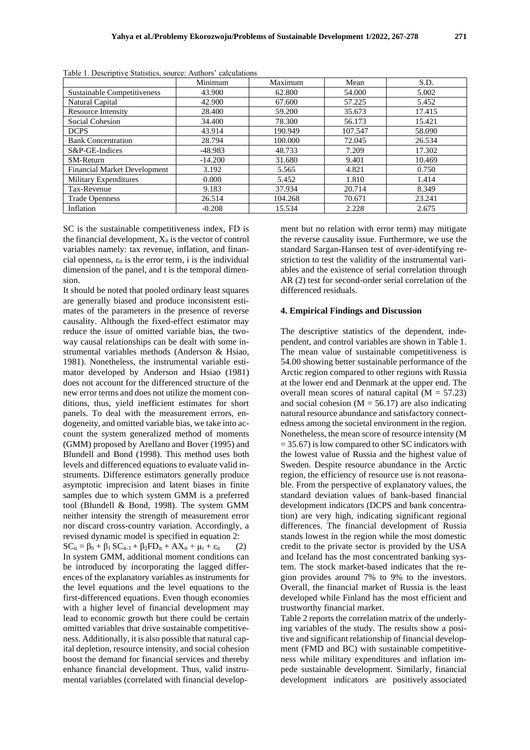|                                     | Minimum   | Maximum | Mean    | S.D.   |
|-------------------------------------|-----------|---------|---------|--------|
| <b>Sustainable Competitiveness</b>  | 43.900    | 62.800  | 54.000  | 5.002  |
| Natural Capital                     | 42.900    | 67.600  | 57.225  | 5.452  |
| <b>Resource Intensity</b>           | 28.400    | 59.200  | 35.673  | 17.415 |
| Social Cohesion                     | 34.400    | 78.300  | 56.173  | 15.421 |
| <b>DCPS</b>                         | 43.914    | 190.949 | 107.547 | 58.090 |
| <b>Bank Concentration</b>           | 28.794    | 100.000 | 72.045  | 26.534 |
| S&P-GE-Indices                      | $-48.983$ | 48.733  | 7.209   | 17.302 |
| <b>SM-Return</b>                    | $-14.200$ | 31.680  | 9.401   | 10.469 |
| <b>Financial Market Development</b> | 3.192     | 5.565   | 4.821   | 0.750  |
| <b>Military Expenditures</b>        | 0.000     | 5.452   | 1.810   | 1.414  |
| Tax-Revenue                         | 9.183     | 37.934  | 20.714  | 8.349  |
| <b>Trade Openness</b>               | 26.514    | 104.268 | 70.671  | 23.241 |
| Inflation                           | $-0.208$  | 15.534  | 2.228   | 2.675  |

Table 1. Descriptive Statistics, source: Authors' calculations

SC is the sustainable competitiveness index, FD is the financial development,  $X_{it}$  is the vector of control variables namely: tax revenue, inflation, and financial openness,  $\varepsilon_{it}$  is the error term, i is the individual dimension of the panel, and t is the temporal dimension.

It should be noted that pooled ordinary least squares are generally biased and produce inconsistent estimates of the parameters in the presence of reverse causality. Although the fixed-effect estimator may reduce the issue of omitted variable bias, the twoway causal relationships can be dealt with some instrumental variables methods [\(Anderson & Hsiao,](#page-9-14)  [1981\)](#page-9-14). Nonetheless, the instrumental variable estimator developed by [Anderson and Hsiao \(1981\)](#page-9-14) does not account for the differenced structure of the new error terms and does not utilize the moment conditions, thus, yield inefficient estimates for short panels. To deal with the measurement errors, endogeneity, and omitted variable bias, we take into account the system generalized method of moments (GMM) proposed by [Arellano and Bover \(1995\)](#page-9-15) and [Blundell and Bond \(1998\)](#page-9-16). This method uses both levels and differenced equations to evaluate valid instruments. Difference estimators generally produce asymptotic imprecision and latent biases in finite samples due to which system GMM is a preferred tool [\(Blundell & Bond, 1998\)](#page-9-16). The system GMM neither intensity the strength of measurement error nor discard cross-country variation. Accordingly, a revised dynamic model is specified in equation 2:  $SC_{it} = \beta_0 + \beta_1 SC_{it-1} + \beta_2 FD_{it} + AX_{it} + \mu_t + \varepsilon_{it}$  (2) In system GMM, additional moment conditions can be introduced by incorporating the lagged differ-

ences of the explanatory variables as instruments for the level equations and the level equations to the first-differenced equations. Even though economies with a higher level of financial development may lead to economic growth but there could be certain omitted variables that drive sustainable competitiveness. Additionally, it is also possible that natural capital depletion, resource intensity, and social cohesion boost the demand for financial services and thereby enhance financial development. Thus, valid instrumental variables (correlated with financial development but no relation with error term) may mitigate the reverse causality issue. Furthermore, we use the standard Sargan-Hansen test of over-identifying restriction to test the validity of the instrumental variables and the existence of serial correlation through AR (2) test for second-order serial correlation of the differenced residuals.

#### **4. Empirical Findings and Discussion**

The descriptive statistics of the dependent, independent, and control variables are shown in Table 1. The mean value of sustainable competitiveness is 54.00 showing better sustainable performance of the Arctic region compared to other regions with Russia at the lower end and Denmark at the upper end. The overall mean scores of natural capital  $(M = 57.23)$ and social cohesion ( $M = 56.17$ ) are also indicating natural resource abundance and satisfactory connectedness among the societal environment in the region. Nonetheless, the mean score of resource intensity (M  $= 35.67$ ) is low compared to other SC indicators with the lowest value of Russia and the highest value of Sweden. Despite resource abundance in the Arctic region, the efficiency of resource use is not reasonable. From the perspective of explanatory values, the standard deviation values of bank-based financial development indicators (DCPS and bank concentration) are very high, indicating significant regional differences. The financial development of Russia stands lowest in the region while the most domestic credit to the private sector is provided by the USA and Iceland has the most concentrated banking system. The stock market-based indicates that the region provides around 7% to 9% to the investors. Overall, the financial market of Russia is the least developed while Finland has the most efficient and trustworthy financial market.

Table 2 reports the correlation matrix of the underlying variables of the study. The results show a positive and significant relationship of financial development (FMD and BC) with sustainable competitiveness while military expenditures and inflation impede sustainable development. Similarly, financial development indicators are positively associated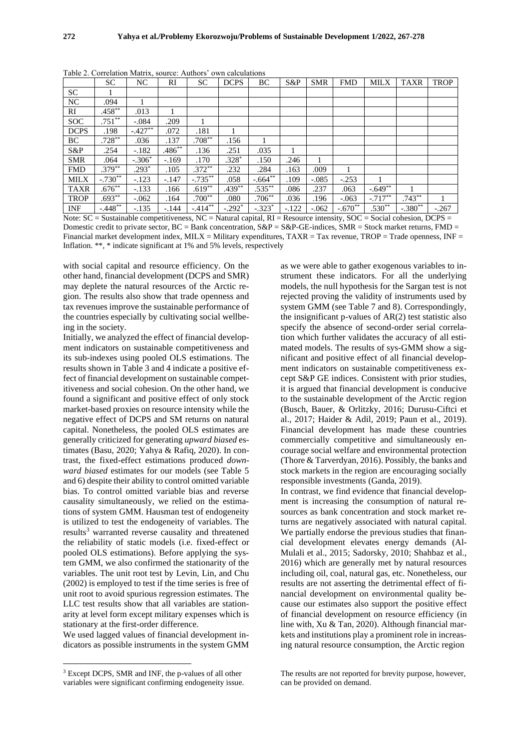|             | <b>SC</b> | NC        | <b>RI</b> | <b>SC</b>  | <b>DCPS</b> | BC        | $S\&P$  | <b>SMR</b> | <b>FMD</b> | <b>MILX</b> | <b>TAXR</b> | <b>TROP</b> |
|-------------|-----------|-----------|-----------|------------|-------------|-----------|---------|------------|------------|-------------|-------------|-------------|
| <b>SC</b>   |           |           |           |            |             |           |         |            |            |             |             |             |
| NC          | .094      |           |           |            |             |           |         |            |            |             |             |             |
| RI          | $.458**$  | .013      |           |            |             |           |         |            |            |             |             |             |
| <b>SOC</b>  | $.751**$  | $-.084$   | .209      |            |             |           |         |            |            |             |             |             |
| <b>DCPS</b> | .198      | $-.427**$ | .072      | .181       |             |           |         |            |            |             |             |             |
| BC          | $.728***$ | .036      | .137      | $.708**$   | .156        |           |         |            |            |             |             |             |
| S&P         | .254      | $-.182$   | $.486**$  | .136       | .251        | .035      | 1       |            |            |             |             |             |
| <b>SMR</b>  | .064      | $-.306*$  | $-.169$   | .170       | $.328*$     | .150      | .246    | 1          |            |             |             |             |
| <b>FMD</b>  | $.379***$ | $.293*$   | .105      | $.372***$  | .232        | .284      | .163    | .009       |            |             |             |             |
| <b>MILX</b> | $-.730**$ | $-.123$   | $-.147$   | $-.735***$ | .058        | $-.664**$ | .109    | $-.085$    | $-.253$    |             |             |             |
| <b>TAXR</b> | $.676**$  | $-.133$   | .166      | $.619**$   | $.439***$   | $.535***$ | .086    | .237       | .063       | $-.649**$   |             |             |
| <b>TROP</b> | $.693**$  | $-.062$   | .164      | $.700**$   | .080        | $.706**$  | .036    | .196       | $-.063$    | $-.717**$   | $.743**$    |             |
| <b>INF</b>  | $-.448**$ | $-.135$   | $-.144$   | $-.414***$ | $-.292*$    | $-.323*$  | $-.122$ | $-.062$    | $-.670**$  | $.530**$    | $-.380**$   | $-.267$     |

Table 2. Correlation Matrix, source: Authors' own calculations

Note: SC = Sustainable competitiveness, NC = Natural capital, RI = Resource intensity, SOC = Social cohesion, DCPS = Domestic credit to private sector,  $BC = Bank$  concentration,  $S\&P = S\&P - GE$ -indices,  $SMR = Stock$  market returns,  $FMD =$ Financial market development index,  $MILX = Military$  expenditures,  $TAXR = Tax$  revenue,  $TROP = Trade$  openness,  $INF =$ Inflation. \*\*, \* indicate significant at 1% and 5% levels, respectively

with social capital and resource efficiency. On the other hand, financial development (DCPS and SMR) may deplete the natural resources of the Arctic region. The results also show that trade openness and tax revenues improve the sustainable performance of the countries especially by cultivating social wellbeing in the society.

Initially, we analyzed the effect of financial development indicators on sustainable competitiveness and its sub-indexes using pooled OLS estimations. The results shown in Table 3 and 4 indicate a positive effect of financial development on sustainable competitiveness and social cohesion. On the other hand, we found a significant and positive effect of only stock market-based proxies on resource intensity while the negative effect of DCPS and SM returns on natural capital. Nonetheless, the pooled OLS estimates are generally criticized for generating *upward biased* estimates [\(Basu, 2020;](#page-9-17) [Yahya & Rafiq, 2020\)](#page-10-24). In contrast, the fixed-effect estimations produced *downward biased* estimates for our models (see Table 5 and 6) despite their ability to control omitted variable bias. To control omitted variable bias and reverse causality simultaneously, we relied on the estimations of system GMM. Hausman test of endogeneity is utilized to test the endogeneity of variables. The results<sup>3</sup> warranted reverse causality and threatened the reliability of static models (i.e. fixed-effect or pooled OLS estimations). Before applying the system GMM, we also confirmed the stationarity of the variables. The unit root test by [Levin, Lin, and Chu](#page-10-25)  [\(2002\)](#page-10-25) is employed to test if the time series is free of unit root to avoid spurious regression estimates. The LLC test results show that all variables are stationarity at level form except military expenses which is stationary at the first-order difference.

We used lagged values of financial development indicators as possible instruments in the system GMM as we were able to gather exogenous variables to instrument these indicators. For all the underlying models, the null hypothesis for the Sargan test is not rejected proving the validity of instruments used by system GMM (see Table 7 and 8). Correspondingly, the insignificant p-values of AR(2) test statistic also specify the absence of second-order serial correlation which further validates the accuracy of all estimated models. The results of sys-GMM show a significant and positive effect of all financial development indicators on sustainable competitiveness except S&P GE indices. Consistent with prior studies, it is argued that financial development is conducive to the sustainable development of the Arctic region [\(Busch, Bauer, & Orlitzky, 2016;](#page-9-18) [Durusu-Ciftci et](#page-9-4)  [al., 2017;](#page-9-4) [Haider & Adil, 2019;](#page-10-26) [Paun et al., 2019\)](#page-10-9). Financial development has made these countries commercially competitive and simultaneously encourage social welfare and environmental protection [\(Thore & Tarverdyan, 2016\)](#page-10-2). Possibly, the banks and stock markets in the region are encouraging socially responsible investments [\(Ganda, 2019\)](#page-9-19).

In contrast, we find evidence that financial development is increasing the consumption of natural resources as bank concentration and stock market returns are negatively associated with natural capital. We partially endorse the previous studies that financial development elevates energy demands [\(Al-](#page-9-7)[Mulali et al., 2015;](#page-9-7) [Sadorsky, 2010;](#page-10-5) [Shahbaz et al.,](#page-10-14)  [2016\)](#page-10-14) which are generally met by natural resources including oil, coal, natural gas, etc. Nonetheless, our results are not asserting the detrimental effect of financial development on environmental quality because our estimates also support the positive effect of financial development on resource efficiency [\(in](#page-10-18)  [line with, Xu & Tan, 2020\)](#page-10-18). Although financial markets and institutions play a prominent role in increasing natural resource consumption, the Arctic region

#### The results are not reported for brevity purpose, however, can be provided on demand.

<sup>3</sup> Except DCPS, SMR and INF, the p-values of all other variables were significant confirming endogeneity issue.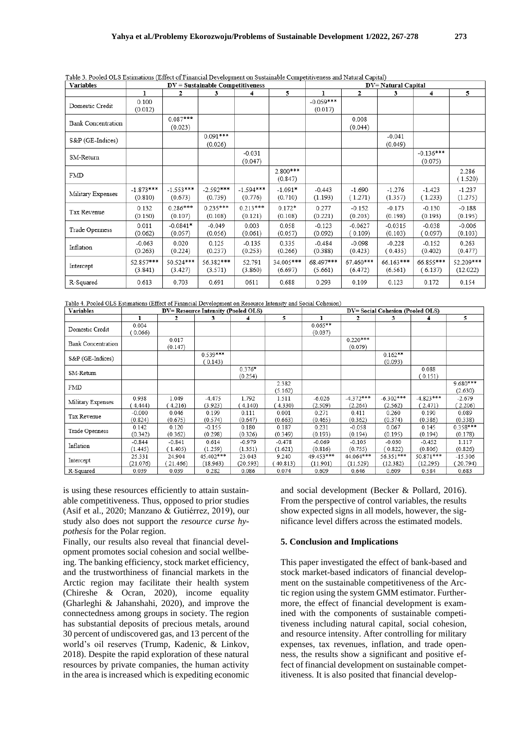| <b>Variables</b>          |                        |                         | $DV =$ Sustainable Competitiveness |                        |                       |                        |                      | <b>DV= Natural Capital</b> | 5<br>3<br>4            |                       |  |  |  |
|---------------------------|------------------------|-------------------------|------------------------------------|------------------------|-----------------------|------------------------|----------------------|----------------------------|------------------------|-----------------------|--|--|--|
|                           | ı                      | $\overline{\mathbf{2}}$ | 3                                  | 4                      | 5                     | 1                      | 2                    |                            |                        |                       |  |  |  |
| Domestic Credit           | 0.100<br>(0.012)       |                         |                                    |                        |                       | $-0.059***$<br>(0.017) |                      |                            |                        |                       |  |  |  |
| <b>Bank Concentration</b> |                        | $0.087***$<br>(0.023)   |                                    |                        |                       |                        | 0.008<br>(0.044)     |                            |                        |                       |  |  |  |
| S&P (GE-Indices)          |                        |                         | $0.091***$<br>(0.026)              |                        |                       |                        |                      | $-0.041$<br>(0.049)        |                        |                       |  |  |  |
| SM-Return                 |                        |                         |                                    | $-0.031$<br>(0.047)    |                       |                        |                      |                            | $-0.136***$<br>(0.075) |                       |  |  |  |
| FMD                       |                        |                         |                                    |                        | $2.800***$<br>(0.847) |                        |                      |                            |                        | 2.286<br>(1.520)      |  |  |  |
| Military Expenses         | $-1.873***$<br>(0.810) | $-1.553***$<br>(0.673)  | $-2.592***$<br>(0.739)             | $-1.594***$<br>(0.776) | $-1.091*$<br>(0.710)  | $-0.443$<br>(1.193)    | $-1.690$<br>(1.271)  | $-1.276$<br>(1.357)        | $-1.423$<br>(1.233)    | $-1.237$<br>(1.275)   |  |  |  |
| Tax Revenue               | 0.132<br>(0.150)       | $0.286***$<br>(0.107)   | $0.235***$<br>(0.108)              | $0.213***$<br>(0.121)  | $0.172*$<br>(0.108)   | 0.277<br>(0.221)       | $-0.152$<br>(0.203)  | $-0.173$<br>(0.198)        | $-0.130$<br>(0.193)    | $-0.188$<br>(0.195)   |  |  |  |
| Trade Openness            | 0.011<br>(0.062)       | $-0.0841*$<br>(0.057)   | $-0.049$<br>(0.056)                | 0.003<br>(0.061)       | 0.058<br>(0.057)      | $-0.123$<br>(0.092)    | $-0.0627$<br>(0.109) | $-0.0315$<br>(0.103)       | $-0.038$<br>(0.097)    | $-0.006$<br>(0.103)   |  |  |  |
| Inflation                 | $-0.063$<br>(0.263)    | 0.020<br>(0.224)        | 0.125<br>(0.237)                   | $-0.135$<br>(0.253)    | 0.335<br>(0.266)      | $-0.484$<br>(0.388)    | $-0.098$<br>(0.423)  | $-0.228$<br>(0.435)        | $-0.152$<br>(0.402)    | 0.263<br>(0.477)      |  |  |  |
| Intercept                 | 52.857***<br>(3.841)   | 50.524***<br>(3.427)    | 56.382***<br>(3.571)               | 52.791<br>(3.860)      | 34.005***<br>(6.697)  | 68.497***<br>(5.661)   | 67.460***<br>(6.472) | 66.163***<br>(6.561)       | 66.855***<br>(6.137)   | 52.209***<br>(12.022) |  |  |  |
| R-Squared                 | 0.613                  | 0.703                   | 0.691                              | 0611                   | 0.688                 | 0.293                  | 0.109                | 0.123                      | 0.172                  | 0.154                 |  |  |  |

Table 4. Pooled OLS Estimations (Effect of Financial Development on Resource Intensity and Social Cohesion)

| Variables          |                     |                    | DV= Resource Intensity (Pooled OLS) |                     |                     | DV= Social Cohesion (Pooled OLS) |                        |                        |                        |                       |  |  |
|--------------------|---------------------|--------------------|-------------------------------------|---------------------|---------------------|----------------------------------|------------------------|------------------------|------------------------|-----------------------|--|--|
|                    |                     | 2                  | 3                                   |                     | 5.                  |                                  | 2                      | 3                      | 4                      | 5                     |  |  |
| Domestic Credit    | 0.004<br>0.066      |                    |                                     |                     |                     | $0.065**$<br>(0.037)             |                        |                        |                        |                       |  |  |
| Bank Concentration |                     | 0.017<br>(0.147)   |                                     |                     |                     |                                  | $0.220***$<br>(0.079)  |                        |                        |                       |  |  |
| S&P (GE-Indices)   |                     |                    | $0.539***$<br>(0.143)               |                     |                     |                                  |                        | $0.162**$<br>(0.093)   |                        |                       |  |  |
| SM-Return          |                     |                    |                                     | $0.376*$<br>(0.254) |                     |                                  |                        |                        | 0.088<br>(0.151)       |                       |  |  |
| FMD                |                     |                    |                                     |                     | 2.382<br>(5.162)    |                                  |                        |                        |                        | $9.680***$<br>(2.630) |  |  |
| Military Expenses  | 0.938<br>4.444      | 1.049<br>4.216)    | $-4.475$<br>(3.923)                 | 1.792<br>4.140)     | 1.511<br>4.330)     | $-6.026$<br>(2.509)              | $-4.372***$<br>(2.264) | $-6.302***$<br>(2.562) | $-4.823***$<br>(2.471) | $-2.679$<br>(2.206)   |  |  |
| Tax Revenue        | $-0.000$<br>(0.824) | 0.046<br>(0.675)   | 0.199<br>(0.574)                    | 0.111<br>(0.647)    | 0.001<br>(0.663)    | 0.271<br>(0.465)                 | 0.411<br>(0.362)       | 0.260<br>(0.374)       | 0.190<br>(0.386)       | 0.089<br>(0.338)      |  |  |
| Trade Openness     | 0.142<br>(0.342)    | 0.120<br>(0.362)   | $-0.155$<br>(0.298)                 | 0.180<br>(0.326)    | 0.187<br>(0.349)    | 0.231<br>(0.193)                 | $-0.058$<br>(0.194)    | 0.067<br>(0.195)       | 0.145<br>(0.194)       | $0.358***$<br>(0.178) |  |  |
| Inflation          | $-0.844$<br>(1.445) | $-0.841$<br>1.405) | 0.614<br>(1.259)                    | -0.979<br>(1.351)   | $-0.478$<br>(1.621) | $-0.069$<br>(0.816)              | $-0.105$<br>(0.755)    | $-0.030$<br>0.822)     | $-0.452$<br>(0.806)    | 1.117<br>(0.826)      |  |  |
| Intercept          | 25.331<br>(21.076)  | 24.904<br>21.466)  | 45.402***<br>(18.963)               | 23.043<br>(20.593)  | 9.240<br>40.813)    | 49.453***<br>(11.901)            | 44.064***<br>(11.529)  | 56.351***<br>(12.382)  | 50.871***<br>(12.295)  | $-15.306$<br>20.794)  |  |  |
| R-Squared          | 0.039               | 0.039              | 0.282                               | 0.086               | 0.074               | 0.609                            | 0.646                  | 0.609                  | 0.584                  | 0.683                 |  |  |

is using these resources efficiently to attain sustainable competitiveness. Thus, opposed to prior studies [\(Asif et al., 2020;](#page-9-20) [Manzano & Gutiérrez, 2019\)](#page-10-27), our study also does not support the *resource curse hypothesis* for the Polar region.

Finally, our results also reveal that financial development promotes social cohesion and social wellbeing. The banking efficiency, stock market efficiency, and the trustworthiness of financial markets in the Arctic region may facilitate their health system [\(Chireshe & Ocran, 2020\)](#page-9-9), income equality [\(Gharleghi & Jahanshahi, 2020\)](#page-9-10), and improve the connectedness among groups in society. The region has substantial deposits of precious metals, around 30 percent of undiscovered gas, and 13 percent of the world's oil reserves [\(Trump, Kadenic, & Linkov,](#page-10-28)  [2018\)](#page-10-28). Despite the rapid exploration of these natural resources by private companies, the human activity in the area is increased which is expediting economic

and social development [\(Becker & Pollard, 2016\)](#page-9-21). From the perspective of control variables, the results show expected signs in all models, however, the significance level differs across the estimated models.

#### **5. Conclusion and Implications**

This paper investigated the effect of bank-based and stock market-based indicators of financial development on the sustainable competitiveness of the Arctic region using the system GMM estimator. Furthermore, the effect of financial development is examined with the components of sustainable competitiveness including natural capital, social cohesion, and resource intensity. After controlling for military expenses, tax revenues, inflation, and trade openness, the results show a significant and positive effect of financial development on sustainable competitiveness. It is also posited that financial develop-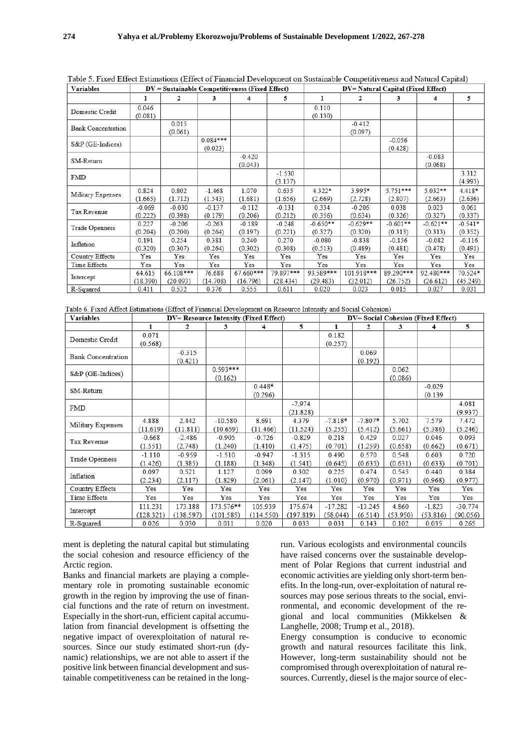| <b>Variables</b>          |                     | $DV =$ Sustainable Competitiveness (Fixed Effect) |                       |                       |                       | DV= Natural Capital (Fixed Effect) |                        |                       |                       |                      |  |
|---------------------------|---------------------|---------------------------------------------------|-----------------------|-----------------------|-----------------------|------------------------------------|------------------------|-----------------------|-----------------------|----------------------|--|
|                           | 1                   | 2                                                 | 3                     | 4                     | 5                     | 1                                  | 2                      | 3                     | 4                     | 5                    |  |
| Domestic Credit           | 0.046<br>(0.081)    |                                                   |                       |                       |                       | 0.110<br>(0.130)                   |                        |                       |                       |                      |  |
| <b>Bank Concentration</b> |                     | 0.015<br>(0.061)                                  |                       |                       |                       |                                    | $-0.412$<br>(0.097)    |                       |                       |                      |  |
| S&P (GE-Indices)          |                     |                                                   | $0.084***$<br>(0.023) |                       |                       |                                    |                        | $-0.056$<br>(0.428)   |                       |                      |  |
| SM-Return                 |                     |                                                   |                       | $-0.420$<br>(0.043)   |                       |                                    |                        |                       | $-0.083$<br>(0.068)   |                      |  |
| FMD                       |                     |                                                   |                       |                       | $-1.530$<br>(3.137)   |                                    |                        |                       |                       | 3.312<br>(4.993)     |  |
| Military Expenses         | 0.824<br>(1.665)    | 0.802<br>(1.712)                                  | $-1.468$<br>(1.543)   | 1.070<br>(1.681)      | 0.635<br>(1.656)      | 4.322*<br>(2.669)                  | 3.995*<br>(2.728)      | 5.751***<br>(2.807)   | $5.032**$<br>(2.663)  | 4.418*<br>(2.636)    |  |
| Tax Revenue               | $-0.069$<br>(0.222) | $-0.030$<br>(0.398)                               | $-0.137$<br>(0.179)   | $-0.112$<br>(0.206)   | $-0.131$<br>(0.212)   | 0.334<br>(0.356)                   | $-0.206$<br>(0.634)    | 0.038<br>(0.326)      | 0.023<br>(0.327)      | 0.061<br>(0.337)     |  |
| Trade Openness            | 0.227<br>(0.204)    | $-0.206$<br>(0.200)                               | $-0.263$<br>(0.264)   | $-0.189$<br>(0.197)   | $-0.248$<br>(0.221)   | $-0.650**$<br>(0.327)              | $-0.629**$<br>(0.320)  | $-0.601**$<br>(0.313) | $-0.621**$<br>(0.313) | $-0.541*$<br>(0.352) |  |
| Inflation                 | 0.191<br>(0.320)    | 0.254<br>(0.307)                                  | 0.381<br>(0.264)      | 0.240<br>(0.302)      | 0.270<br>(0.308)      | $-0.080$<br>(0.513)                | $-0.838$<br>(0.489)    | $-0.156$<br>(0.481)   | $-0.082$<br>(0.478)   | $-0.116$<br>(0.491)  |  |
| Country Effects           | Yes                 | Yes                                               | Yes                   | Yes                   | Yes                   | Yes                                | Yes                    | Yes                   | Yes                   | Yes                  |  |
| Time Effects              | Yes                 | Yes                                               | Yes                   | Yes                   | Yes                   | Yes                                | Yes                    | Yes                   | Yes                   | Yes                  |  |
| Intercept                 | 64.615<br>(18.390)  | 66.108***<br>(20.093)                             | 76.688<br>(14.708)    | 67.660***<br>(16.796) | 79.897***<br>(28.434) | 93.589***<br>(29.483)              | 101.918***<br>(32.012) | 89.290***<br>(26.752) | 92.480***<br>(26.612) | 70.524*<br>(45.249)  |  |
| R-Squared                 | 0.411               | 0.532                                             | 0.376                 | 0.555                 | 0.611                 | 0.020                              | 0.023                  | 0.015                 | 0.027                 | 0.031                |  |

Table 5. Fixed Effect Estimations (Effect of Financial Development on Sustainable Competitiveness and Natural Capital)

Table 6 Fixed Affect Estimations (Effect of Financial Development on Resource Intensity and Social Cohesion)

| <b>Variables</b>                                                                                                                                                                                  |           |           | DV= Resource Intensity (Fixed Effect) |              |           |           | DV= Social Cohesion (Fixed Effect)<br>5.<br>2<br>3<br>1<br>4<br>0.069<br>(0.192)<br>0.062<br>(0.086)<br>$-0.029$ |          |          |           |
|---------------------------------------------------------------------------------------------------------------------------------------------------------------------------------------------------|-----------|-----------|---------------------------------------|--------------|-----------|-----------|------------------------------------------------------------------------------------------------------------------|----------|----------|-----------|
|                                                                                                                                                                                                   | 1         | 2         | 3                                     | 4            | 5         |           |                                                                                                                  |          |          |           |
|                                                                                                                                                                                                   | 0.071     |           |                                       |              |           | 0.182     |                                                                                                                  |          |          |           |
| Domestic Credit<br><b>Bank Concentration</b><br>S&P (GE-Indices)<br>SM-Return<br><b>FMD</b><br>Military Expenses<br>Tax Revenue<br>Trade Openness<br>Inflation<br>Country Effects<br>Time Effects | (0.568)   |           |                                       |              |           | (0.257)   |                                                                                                                  |          |          |           |
|                                                                                                                                                                                                   |           | $-0.315$  |                                       |              |           |           |                                                                                                                  |          |          |           |
|                                                                                                                                                                                                   |           | (0.421)   |                                       |              |           |           |                                                                                                                  |          |          |           |
|                                                                                                                                                                                                   |           |           | $0.593***$                            |              |           |           |                                                                                                                  |          |          |           |
|                                                                                                                                                                                                   |           |           | (0.162)                               |              |           |           |                                                                                                                  |          |          |           |
|                                                                                                                                                                                                   |           |           |                                       | $0.448*$     |           |           |                                                                                                                  |          |          |           |
|                                                                                                                                                                                                   |           |           |                                       | (0.296)      |           |           |                                                                                                                  |          | (0.139)  |           |
|                                                                                                                                                                                                   |           |           |                                       |              | $-7.974$  |           |                                                                                                                  |          |          | 4.081     |
|                                                                                                                                                                                                   |           |           |                                       |              | (21.828)  |           |                                                                                                                  |          |          | (9.937)   |
|                                                                                                                                                                                                   | 4.888     | 2.442     | $-10.580$                             | 8.691        | 4.379     | $-7.818*$ | $-7.807*$                                                                                                        | 5.702    | 7.579    | 7.472     |
|                                                                                                                                                                                                   | (11.619)  | (11.811)  | (10.659)                              | (11.466)     | (11.524)  | (5.255)   | (5.412)                                                                                                          | (5.661)  | (5.386)  | (5.246)   |
|                                                                                                                                                                                                   | $-0.668$  | $-2.486$  | $-0.905$                              | $-0.726$     | $-0.829$  | 0.218     | 0.429                                                                                                            | 0.027    | 0.046    | 0.093     |
|                                                                                                                                                                                                   | (1.551)   | (2.748)   | (1.240)                               | (1.410)      | (1.475)   | (0.701)   | (1.259)                                                                                                          | (0.658)  | (0.662)  | (0.671)   |
|                                                                                                                                                                                                   | $-1.110$  | $-0.959$  | $-1.510$                              | $-0.947$     | $-1.315$  | 0.490     | 0.570                                                                                                            | 0.548    | 0.603    | 0.720     |
|                                                                                                                                                                                                   | (1.426)   | (1.385)   | (1.188)                               | (1.348)      | (1.541)   | (0.645)   | (0.635)                                                                                                          | (0.631)  | (0.633)  | (0.701)   |
|                                                                                                                                                                                                   | 0.097     | 0.521     | 1.127                                 | 0.099        | 0.302     | 0.225     | 0.474                                                                                                            | 0.545    | 0.440    | 0.384     |
|                                                                                                                                                                                                   | (2.234)   | (2.117)   | (1.829)                               | (2.061)      | (2.147)   | (1.010)   | (0.970)                                                                                                          | (0.971)  | (0.968)  | (0.977)   |
|                                                                                                                                                                                                   | Yes       | Yes       | Yes                                   | Yes          | Yes       | Yes       | Yes                                                                                                              | Yes      | Yes      | Yes       |
|                                                                                                                                                                                                   | Yes       | Yes       | Yes                                   | $_{\rm Yes}$ | Yes       | Yes       | Yes                                                                                                              | Yes      | Yes      | Yes       |
| Intercept                                                                                                                                                                                         | 111.231   | 173.188   | 173.576**                             | 105.939      | 175.674   | $-17.282$ | $-13.245$                                                                                                        | 4.860    | $-1.823$ | $-30.774$ |
|                                                                                                                                                                                                   | (128.321) | (138.597) | (101.585)                             | (114.550)    | (197.819) | (58.044)  | (6.514)                                                                                                          | (53.950) | (53.816) | (90.056)  |
| R-Squared                                                                                                                                                                                         | 0.026     | 0.030     | 0.011                                 | 0.020        | 0.033     | 0.031     | 0.143                                                                                                            | 0.102    | 0.035    | 0.265     |

ment is depleting the natural capital but stimulating the social cohesion and resource efficiency of the Arctic region.

Banks and financial markets are playing a complementary role in promoting sustainable economic growth in the region by improving the use of financial functions and the rate of return on investment. Especially in the short-run, efficient capital accumulation from financial development is offsetting the negative impact of overexploitation of natural resources. Since our study estimated short-run (dynamic) relationships, we are not able to assert if the positive link between financial development and sustainable competitiveness can be retained in the long-

run. Various ecologists and environmental councils have raised concerns over the sustainable development of Polar Regions that current industrial and economic activities are yielding only short-term benefits. In the long-run, over-exploitation of natural resources may pose serious threats to the social, environmental, and economic development of the regional and local communities [\(Mikkelsen &](#page-10-29)  [Langhelle, 2008;](#page-10-29) [Trump et al., 2018\)](#page-10-28).

Energy consumption is conducive to economic growth and natural resources facilitate this link. However, long-term sustainability should not be compromised through overexploitation of natural resources. Currently, diesel is the major source of elec-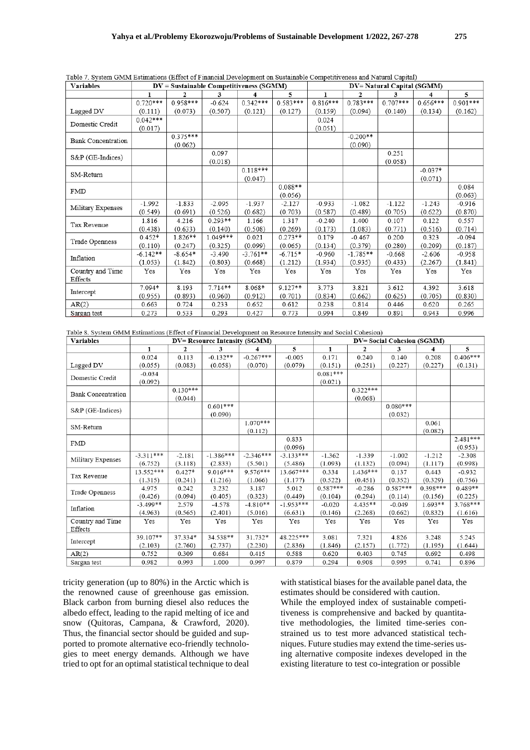| <b>Variables</b>          |            |              |            | $DV =$ Sustainable Competitiveness (SGMM) |            | DV= Natural Capital (SGMM) |              |            |            |            |  |
|---------------------------|------------|--------------|------------|-------------------------------------------|------------|----------------------------|--------------|------------|------------|------------|--|
|                           | 1          | $\mathbf{2}$ | 3          | 4                                         | 5          | 1                          | $\mathbf{2}$ | 3          | 4          | 5          |  |
|                           | $0.720***$ | $0.958***$   | $-0.624$   | $0.342***$                                | $0.583***$ | $0.816***$                 | $0.783***$   | $0.707***$ | $0.656***$ | $0.901***$ |  |
| Lagged DV                 | (0.111)    | (0.073)      | (0.507)    | (0.121)                                   | (0.127)    | (0.159)                    | (0.094)      | (0.140)    | (0.134)    | (0.162)    |  |
| Domestic Credit           | $0.042***$ |              |            |                                           |            | 0.024                      |              |            |            |            |  |
|                           | (0.017)    |              |            |                                           |            | (0.051)                    |              |            |            |            |  |
| <b>Bank Concentration</b> |            | $0.375***$   |            |                                           |            |                            | $-0.200**$   |            |            |            |  |
|                           |            | (0.062)      |            |                                           |            |                            | (0.090)      |            |            |            |  |
| S&P (GE-Indices)          |            |              | 0.097      |                                           |            |                            |              | 0.251      |            |            |  |
|                           |            |              | (0.018)    |                                           |            |                            |              | (0.058)    |            |            |  |
| SM-Return                 |            |              |            | $0.118***$                                |            |                            |              |            | $-0.037*$  |            |  |
|                           |            |              |            | (0.047)                                   |            |                            |              |            | (0.071)    |            |  |
| <b>FMD</b>                |            |              |            |                                           | $0.088**$  |                            |              |            |            | 0.084      |  |
|                           |            |              |            |                                           | (0.056)    |                            |              |            |            | (0.063)    |  |
| Military Expenses         | $-1.992$   | $-1.833$     | $-2.095$   | $-1.937$                                  | $-2.127$   | $-0.933$                   | $-1.082$     | $-1.122$   | $-1.243$   | $-0.916$   |  |
|                           | (0.549)    | (0.691)      | (0.526)    | (0.682)                                   | (0.703)    | (0.587)                    | (0.489)      | (0.705)    | (0.622)    | (0.870)    |  |
| Tax Revenue               | 1.816      | 4.216        | $0.293**$  | 1.166                                     | 1.317      | $-0.240$                   | 1.400        | 0.107      | 0.122      | 0.557      |  |
|                           | (0.438)    | (0.633)      | (0.140)    | (0.508)                                   | (0.269)    | (0.173)                    | (1.083)      | (0.771)    | (0.516)    | (0.714)    |  |
| Trade Openness            | $0.452*$   | 1.826**      | $1.049***$ | 0.021                                     | $0.273**$  | 0.179                      | $-0.467$     | 0.200      | 0.323      | $-0.094$   |  |
|                           | (0.110)    | (0.247)      | (0.325)    | (0.099)                                   | (0.065)    | (0.134)                    | (0.379)      | (0.280)    | (0.209)    | (0.187)    |  |
| Inflation                 | $-6.142**$ | $-8.654*$    | $-3.490$   | $-3.761**$                                | $-6.715*$  | $-0.960$                   | $-1.785**$   | $-0.668$   | $-2.606$   | $-0.958$   |  |
|                           | (1.053)    | (1.842)      | (0.803)    | (0.668)                                   | (1.212)    | (1.934)                    | (0.935)      | (0.433)    | (2.267)    | (1.841)    |  |
| Country and Time          | Yes        | Yes          | Yes        | Yes                                       | Yes        | Yes                        | Yes          | Yes        | Yes        | Yes        |  |
| Effects                   |            |              |            |                                           |            |                            |              |            |            |            |  |
|                           | 7.094*     | 8.193        | $7.714**$  | 8.068*                                    | $9.127**$  | 3.773                      | 3.821        | 3.612      | 4.392      | 3.618      |  |
| Intercept                 | (0.955)    | (0.893)      | (0.960)    | (0.912)                                   | (0.701)    | (0.834)                    | (0.662)      | (0.625)    | (0.705)    | (0.830)    |  |
| AR(2)                     | 0.663      | 0.724        | 0.233      | 0.652                                     | 0.612      | 0.238                      | 0.814        | 0.446      | 0.620      | 0.265      |  |
| Sargan test               | 0.273      | 0.533        | 0.293      | 0.427                                     | 0.773      | 0.994                      | 0.849        | 0.891      | 0.943      | 0.996      |  |

Table 7, System GMM Estimations (Effect of Financial Development on Sustainable Competitiveness and Natural Capital)

Table 8. System GMM Estimations (Effect of Financial Development on Resource Intensity and Social Cohesion)

| <b>Variables</b>          |              |            | <b>DV= Resource Intensity (SGMM)</b> |             | <b>DV= Social Cohesion (SGMM)</b><br>$\mathbf{1}$<br>2<br>3<br>4<br>0.171<br>0.240<br>0.140<br>0.208<br>(0.151)<br>(0.251)<br>(0.227)<br>(0.227)<br>$0.081***$<br>(0.021)<br>$0.322***$<br>(0.068)<br>$0.080***$<br>(0.032)<br>0.061<br>(0.082)<br>$-1.212$<br>$-1.362$<br>$-1.339$<br>$-1.002$<br>(1.093)<br>(1.132)<br>(0.094)<br>(1.117)<br>$1.436***$<br>0.334<br>0.137<br>0.443<br>(0.522)<br>(0.352)<br>(0.329)<br>(0.451)<br>$0.587***$<br>$0.587***$<br>$0.398***$<br>$-0.286$<br>(0.294)<br>(0.104)<br>(0.114)<br>(0.156)<br>$4.435**$<br>$1.693**$<br>$-0.020$<br>$-0.049$<br>(0.146)<br>(0.662)<br>(2.268)<br>(0.832)<br>Yes<br>Yes<br>Yes<br>Yes |         |         |         |         |            |
|---------------------------|--------------|------------|--------------------------------------|-------------|--------------------------------------------------------------------------------------------------------------------------------------------------------------------------------------------------------------------------------------------------------------------------------------------------------------------------------------------------------------------------------------------------------------------------------------------------------------------------------------------------------------------------------------------------------------------------------------------------------------------------------------------------------------|---------|---------|---------|---------|------------|
|                           | $\mathbf{1}$ | 2          | 3                                    | 4           | 5                                                                                                                                                                                                                                                                                                                                                                                                                                                                                                                                                                                                                                                            |         |         |         |         | 5          |
|                           | 0.024        | 0.113      | $-0.132**$                           | $-0.267***$ | $-0.005$                                                                                                                                                                                                                                                                                                                                                                                                                                                                                                                                                                                                                                                     |         |         |         |         | $0.406***$ |
| Lagged DV                 | (0.055)      | (0.083)    | (0.058)                              | (0.070)     | (0.079)                                                                                                                                                                                                                                                                                                                                                                                                                                                                                                                                                                                                                                                      |         |         |         |         | (0.131)    |
| Domestic Credit           | $-0.034$     |            |                                      |             |                                                                                                                                                                                                                                                                                                                                                                                                                                                                                                                                                                                                                                                              |         |         |         |         |            |
|                           | (0.092)      |            |                                      |             |                                                                                                                                                                                                                                                                                                                                                                                                                                                                                                                                                                                                                                                              |         |         |         |         |            |
| <b>Bank Concentration</b> |              | $0.130***$ |                                      |             |                                                                                                                                                                                                                                                                                                                                                                                                                                                                                                                                                                                                                                                              |         |         |         |         |            |
|                           |              | (0.044)    |                                      |             |                                                                                                                                                                                                                                                                                                                                                                                                                                                                                                                                                                                                                                                              |         |         |         |         |            |
| S&P (GE-Indices)          |              |            | $0.601***$                           |             |                                                                                                                                                                                                                                                                                                                                                                                                                                                                                                                                                                                                                                                              |         |         |         |         |            |
|                           |              |            | (0.090)                              |             |                                                                                                                                                                                                                                                                                                                                                                                                                                                                                                                                                                                                                                                              |         |         |         |         |            |
|                           |              |            |                                      | $1.070***$  |                                                                                                                                                                                                                                                                                                                                                                                                                                                                                                                                                                                                                                                              |         |         |         |         |            |
| SM-Return                 |              |            |                                      | (0.112)     |                                                                                                                                                                                                                                                                                                                                                                                                                                                                                                                                                                                                                                                              |         |         |         |         |            |
| <b>FMD</b>                |              |            |                                      |             | 0.833                                                                                                                                                                                                                                                                                                                                                                                                                                                                                                                                                                                                                                                        |         |         |         |         | $2.481***$ |
|                           |              |            |                                      |             | (0.096)                                                                                                                                                                                                                                                                                                                                                                                                                                                                                                                                                                                                                                                      |         |         |         |         | (0.953)    |
|                           | $-3.311***$  | $-2.181$   | $-1.386***$                          | $-2.346***$ | $-3.133***$                                                                                                                                                                                                                                                                                                                                                                                                                                                                                                                                                                                                                                                  |         |         |         |         | $-2.308$   |
| Military Expenses         | (6.752)      | (3.118)    | (2.833)                              | (5.501)     | (5.486)                                                                                                                                                                                                                                                                                                                                                                                                                                                                                                                                                                                                                                                      |         |         |         |         | (0.998)    |
|                           | 13.552***    | $0.427*$   | $9.016***$                           | $9.576***$  | 13.667***                                                                                                                                                                                                                                                                                                                                                                                                                                                                                                                                                                                                                                                    |         |         |         |         | $-0.932$   |
| Tax Revenue               | (1.315)      | (0.241)    | (1.216)                              | (1.066)     | (1.177)                                                                                                                                                                                                                                                                                                                                                                                                                                                                                                                                                                                                                                                      |         |         |         |         | (0.756)    |
|                           | 4.975        | 0.242      | 3.232                                | 3.187       | 5.012                                                                                                                                                                                                                                                                                                                                                                                                                                                                                                                                                                                                                                                        |         |         |         |         | $0.489**$  |
| Trade Openness            | (0.426)      | (0.094)    | (0.405)                              | (0.323)     | (0.449)                                                                                                                                                                                                                                                                                                                                                                                                                                                                                                                                                                                                                                                      |         |         |         |         | (0.225)    |
| Inflation                 | $-3.499**$   | 2.579      | $-4.578$                             | $-4.810**$  | $-1.953***$                                                                                                                                                                                                                                                                                                                                                                                                                                                                                                                                                                                                                                                  |         |         |         |         | $3.768***$ |
|                           | (4.963)      | (0.565)    | (2.401)                              | (5.016)     | (6.631)                                                                                                                                                                                                                                                                                                                                                                                                                                                                                                                                                                                                                                                      |         |         |         |         | (1.616)    |
| Country and Time          | Yes          | Yes        | Yes                                  | Yes         | Yes                                                                                                                                                                                                                                                                                                                                                                                                                                                                                                                                                                                                                                                          |         |         |         |         | Yes        |
| Effects                   |              |            |                                      |             |                                                                                                                                                                                                                                                                                                                                                                                                                                                                                                                                                                                                                                                              |         |         |         |         |            |
|                           | 39.107**     | 37.334*    | 34.538**                             | 31.732*     | 48.225***                                                                                                                                                                                                                                                                                                                                                                                                                                                                                                                                                                                                                                                    | 3.081   | 7.321   | 4.826   | 3.248   | 5.245      |
| Intercept                 | (2.103)      | (2.760)    | (2.737)                              | (2.230)     | (2.836)                                                                                                                                                                                                                                                                                                                                                                                                                                                                                                                                                                                                                                                      | (1.846) | (2.157) | (1.772) | (1.195) | (1.644)    |
| AR(2)                     | 0.752        | 0.309      | 0.684                                | 0.415       | 0.588                                                                                                                                                                                                                                                                                                                                                                                                                                                                                                                                                                                                                                                        | 0.620   | 0.403   | 0.745   | 0.692   | 0.498      |
| Sargan test               | 0.982        | 0.993      | 1.000                                | 0.997       | 0.879                                                                                                                                                                                                                                                                                                                                                                                                                                                                                                                                                                                                                                                        | 0.294   | 0.908   | 0.995   | 0.741   | 0.896      |

tricity generation (up to 80%) in the Arctic which is the renowned cause of greenhouse gas emission. Black carbon from burning diesel also reduces the albedo effect, leading to the rapid melting of ice and snow [\(Quitoras, Campana, & Crawford, 2020\)](#page-10-30). Thus, the financial sector should be guided and supported to promote alternative eco-friendly technologies to meet energy demands. Although we have tried to opt for an optimal statistical technique to deal

with statistical biases for the available panel data, the estimates should be considered with caution. While the employed index of sustainable competitiveness is comprehensive and backed by quantitative methodologies, the limited time-series constrained us to test more advanced statistical techniques. Future studies may extend the time-series using alternative composite indexes developed in the existing literature to test co-integration or possible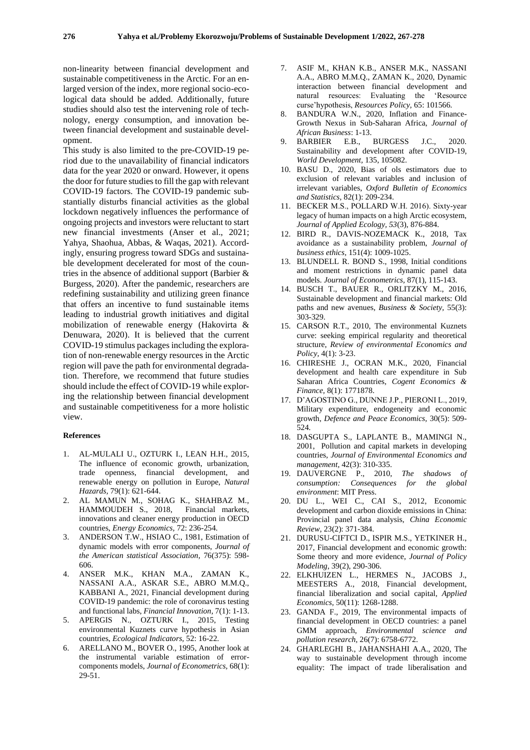non-linearity between financial development and sustainable competitiveness in the Arctic. For an enlarged version of the index, more regional socio-ecological data should be added. Additionally, future studies should also test the intervening role of technology, energy consumption, and innovation between financial development and sustainable development.

This study is also limited to the pre-COVID-19 period due to the unavailability of financial indicators data for the year 2020 or onward. However, it opens the door for future studies to fill the gap with relevant COVID-19 factors. The COVID-19 pandemic substantially disturbs financial activities as the global lockdown negatively influences the performance of ongoing projects and investors were reluctant to start new financial investments [\(Anser et al., 2021;](#page-9-22) [Yahya, Shaohua, Abbas, & Waqas, 2021\)](#page-11-5). Accordingly, ensuring progress toward SDGs and sustainable development decelerated for most of the countries in the absence of additional support [\(Barbier &](#page-9-23)  [Burgess, 2020\)](#page-9-23). After the pandemic, researchers are redefining sustainability and utilizing green finance that offers an incentive to fund sustainable items leading to industrial growth initiatives and digital mobilization of renewable energy [\(Hakovirta &](#page-10-31)  [Denuwara, 2020\)](#page-10-31). It is believed that the current COVID-19 stimulus packages including the exploration of non-renewable energy resources in the Arctic region will pave the path for environmental degradation. Therefore, we recommend that future studies should include the effect of COVID-19 while exploring the relationship between financial development and sustainable competitiveness for a more holistic view.

#### **References**

- <span id="page-9-7"></span>1. AL-MULALI U., OZTURK I., LEAN H.H., 2015, The influence of economic growth, urbanization, trade openness, financial development, and renewable energy on pollution in Europe, *Natural Hazards,* 79(1): 621-644.
- <span id="page-9-1"></span>2. AL MAMUN M., SOHAG K., SHAHBAZ M., HAMMOUDEH S., 2018, Financial markets, innovations and cleaner energy production in OECD countries, *Energy Economics,* 72: 236-254.
- <span id="page-9-14"></span>3. ANDERSON T.W., HSIAO C., 1981, Estimation of dynamic models with error components, *Journal of the American statistical Association,* 76(375): 598- 606.
- <span id="page-9-22"></span>4. ANSER M.K., KHAN M.A., ZAMAN K., NASSANI A.A., ASKAR S.E., ABRO M.M.Q., KABBANI A., 2021, Financial development during COVID-19 pandemic: the role of coronavirus testing and functional labs, *Financial Innovation,* 7(1): 1-13.
- <span id="page-9-5"></span>5. APERGIS N., OZTURK I., 2015, Testing environmental Kuznets curve hypothesis in Asian countries, *Ecological Indicators,* 52: 16-22.
- <span id="page-9-15"></span>6. ARELLANO M., BOVER O., 1995, Another look at the instrumental variable estimation of errorcomponents models, *Journal of Econometrics,* 68(1): 29-51.
- <span id="page-9-20"></span>7. ASIF M., KHAN K.B., ANSER M.K., NASSANI A.A., ABRO M.M.Q., ZAMAN K., 2020, Dynamic interaction between financial development and natural resources: Evaluating the 'Resource curse'hypothesis, *Resources Policy,* 65: 101566.
- <span id="page-9-13"></span>8. BANDURA W.N., 2020, Inflation and Finance-Growth Nexus in Sub-Saharan Africa, *Journal of African Business*: 1-13.
- <span id="page-9-23"></span>9. BARBIER E.B., BURGESS J.C., 2020. Sustainability and development after COVID-19, *World Development,* 135, 105082.
- <span id="page-9-17"></span>10. BASU D., 2020, Bias of ols estimators due to exclusion of relevant variables and inclusion of irrelevant variables, *Oxford Bulletin of Economics and Statistics,* 82(1): 209-234.
- <span id="page-9-21"></span>11. BECKER M.S., POLLARD W.H. 2016). Sixty-year legacy of human impacts on a high Arctic ecosystem, *Journal of Applied Ecology, 53*(3), 876-884.
- <span id="page-9-12"></span>12. BIRD R., DAVIS-NOZEMACK K., 2018, Tax avoidance as a sustainability problem, *Journal of business ethics,* 151(4): 1009-1025.
- <span id="page-9-16"></span>13. BLUNDELL R. BOND S., 1998, Initial conditions and moment restrictions in dynamic panel data models. *Journal of Econometrics,* 87(1), 115-143.
- <span id="page-9-18"></span>14. BUSCH T., BAUER R., ORLITZKY M., 2016, Sustainable development and financial markets: Old paths and new avenues, *Business & Society,* 55(3): 303-329.
- <span id="page-9-6"></span>15. CARSON R.T., 2010, The environmental Kuznets curve: seeking empirical regularity and theoretical structure, *Review of environmental Economics and Policy,* 4(1): 3-23.
- <span id="page-9-9"></span>16. CHIRESHE J., OCRAN M.K., 2020, Financial development and health care expenditure in Sub Saharan Africa Countries, *Cogent Economics & Finance,* 8(1): 1771878.
- <span id="page-9-11"></span>17. D'AGOSTINO G., DUNNE J.P., PIERONI L., 2019, Military expenditure, endogeneity and economic growth, *Defence and Peace Economics,* 30(5): 509- 524.
- <span id="page-9-2"></span>18. DASGUPTA S., LAPLANTE B., MAMINGI N., 2001, Pollution and capital markets in developing countries, *Journal of Environmental Economics and management,* 42(3): 310-335.
- <span id="page-9-0"></span>19. DAUVERGNE P., 2010, *The shadows of consumption: Consequences for the global environment*: MIT Press.
- <span id="page-9-3"></span>20. DU L., WEI C., CAI S., 2012, Economic development and carbon dioxide emissions in China: Provincial panel data analysis, *China Economic Review,* 23(2): 371-384.
- <span id="page-9-4"></span>21. DURUSU-CIFTCI D., ISPIR M.S., YETKINER H., 2017, Financial development and economic growth: Some theory and more evidence, *Journal of Policy Modeling,* 39(2), 290-306.
- <span id="page-9-8"></span>22. ELKHUIZEN L., HERMES N., JACOBS J., MEESTERS A., 2018, Financial development, financial liberalization and social capital, *Applied Economics,* 50(11): 1268-1288.
- <span id="page-9-19"></span>23. GANDA F., 2019, The environmental impacts of financial development in OECD countries: a panel GMM approach, *Environmental science and pollution research,* 26(7): 6758-6772.
- <span id="page-9-10"></span>24. GHARLEGHI B., JAHANSHAHI A.A., 2020, The way to sustainable development through income equality: The impact of trade liberalisation and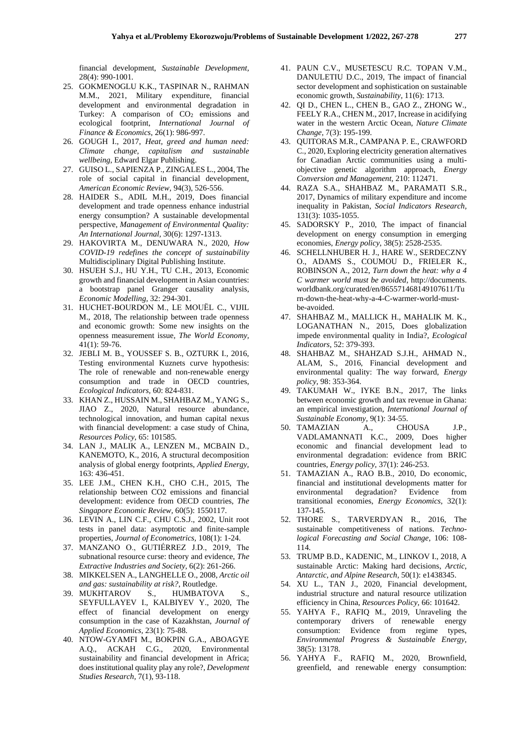financial development, *Sustainable Development,*  28(4): 990-1001.

- <span id="page-10-20"></span>25. GOKMENOGLU K.K., TASPINAR N., RAHMAN M.M., 2021, Military expenditure, financial development and environmental degradation in Turkey: A comparison of CO<sub>2</sub> emissions and ecological footprint, *International Journal of Finance & Economics*, 26(1): 986-997.
- <span id="page-10-1"></span>26. GOUGH I., 2017, *Heat, greed and human need: Climate change, capitalism and sustainable wellbeing*, Edward Elgar Publishing.
- <span id="page-10-16"></span>27. GUISO L., SAPIENZA P., ZINGALES L., 2004, The role of social capital in financial development, *American Economic Review,* 94(3), 526-556.
- <span id="page-10-26"></span>28. HAIDER S., ADIL M.H., 2019, Does financial development and trade openness enhance industrial energy consumption? A sustainable developmental perspective, *Management of Environmental Quality: An International Journal,* 30(6): 1297-1313.
- <span id="page-10-31"></span>29. HAKOVIRTA M., DENUWARA N., 2020, *How COVID-19 redefines the concept of sustainability* Multidisciplinary Digital Publishing Institute.
- <span id="page-10-3"></span>30. HSUEH S.J., HU Y.H., TU C.H., 2013, Economic growth and financial development in Asian countries: a bootstrap panel Granger causality analysis, *Economic Modelling,* 32: 294-301.
- <span id="page-10-23"></span>31. HUCHET‐BOURDON M., LE MOUËL C., VIJIL M., 2018, The relationship between trade openness and economic growth: Some new insights on the openness measurement issue, *The World Economy,*  41(1): 59-76.
- <span id="page-10-10"></span>32. JEBLI M. B., YOUSSEF S. B., OZTURK I., 2016, Testing environmental Kuznets curve hypothesis: The role of renewable and non-renewable energy consumption and trade in OECD countries, *Ecological Indicators,* 60: 824-831.
- <span id="page-10-15"></span>33. KHAN Z., HUSSAIN M., SHAHBAZ M., YANG S., JIAO Z., 2020, Natural resource abundance, technological innovation, and human capital nexus with financial development: a case study of China, *Resources Policy,* 65: 101585.
- <span id="page-10-0"></span>34. LAN J., MALIK A., LENZEN M., MCBAIN D., KANEMOTO, K., 2016, A structural decomposition analysis of global energy footprints, *Applied Energy,*  163: 436-451.
- <span id="page-10-13"></span>35. LEE J.M., CHEN K.H., CHO C.H., 2015, The relationship between CO2 emissions and financial development: evidence from OECD countries, *The Singapore Economic Review,* 60(5): 1550117.
- <span id="page-10-25"></span>36. LEVIN A., LIN C.F., CHU C.S.J., 2002, Unit root tests in panel data: asymptotic and finite-sample properties, *Journal of Econometrics,* 108(1): 1-24.
- <span id="page-10-27"></span>37. MANZANO O., GUTIÉRREZ J.D., 2019, The subnational resource curse: theory and evidence, *The Extractive Industries and Society,* 6(2): 261-266.
- <span id="page-10-29"></span>38. MIKKELSEN A., LANGHELLE O., 2008, *Arctic oil and gas: sustainability at risk?*, Routledge.
- <span id="page-10-17"></span>39. MUKHTAROV S., HUMBATOVA SEYFULLAYEV I., KALBIYEV Y., 2020, The effect of financial development on energy consumption in the case of Kazakhstan, *Journal of Applied Economics,* 23(1): 75-88.
- <span id="page-10-12"></span>40. NTOW-GYAMFI M., BOKPIN G.A., ABOAGYE A.Q., ACKAH C.G., 2020, Environmental sustainability and financial development in Africa; does institutional quality play any role?, *Development Studies Research,* 7(1), 93-118.
- <span id="page-10-9"></span>41. PAUN C.V., MUSETESCU R.C. TOPAN V.M., DANULETIU D.C., 2019, The impact of financial sector development and sophistication on sustainable economic growth, *Sustainability,* 11(6): 1713.
- <span id="page-10-8"></span>42. QI D., CHEN L., CHEN B., GAO Z., ZHONG W., FEELY R.A., CHEN M., 2017, Increase in acidifying water in the western Arctic Ocean, *Nature Climate Change,* 7(3): 195-199.
- <span id="page-10-30"></span>43. QUITORAS M.R., CAMPANA P. E., CRAWFORD C., 2020, Exploring electricity generation alternatives for Canadian Arctic communities using a multiobjective genetic algorithm approach, *Energy Conversion and Management,* 210: 112471.
- <span id="page-10-19"></span>44. RAZA S.A., SHAHBAZ M., PARAMATI S.R., 2017, Dynamics of military expenditure and income inequality in Pakistan, *Social Indicators Research,*  131(3): 1035-1055.
- <span id="page-10-5"></span>45. SADORSKY P., 2010, The impact of financial development on energy consumption in emerging economies, *Energy policy,* 38(5): 2528-2535.
- <span id="page-10-7"></span>46. SCHELLNHUBER H. J., HARE W., SERDECZNY O., ADAMS S., COUMOU D., FRIELER K., ROBINSON A., 2012, *Turn down the heat: why a 4 C warmer world must be avoided*, http://documents. worldbank.org/curated/en/865571468149107611/Tu rn-down-the-heat-why-a-4-C-warmer-world-mustbe-avoided.
- <span id="page-10-6"></span>47. SHAHBAZ M., MALLICK H., MAHALIK M. K., LOGANATHAN N., 2015, Does globalization impede environmental quality in India?, *Ecological Indicators,* 52: 379-393.
- <span id="page-10-14"></span>48. SHAHBAZ M., SHAHZAD S.J.H., AHMAD N., ALAM, S., 2016, Financial development and environmental quality: The way forward, *Energy policy,* 98: 353-364.
- <span id="page-10-21"></span>49. TAKUMAH W., IYKE B.N., 2017, The links between economic growth and tax revenue in Ghana: an empirical investigation, *International Journal of Sustainable Economy,* 9(1): 34-55.
- <span id="page-10-11"></span>50. TAMAZIAN A., CHOUSA J.P., VADLAMANNATI K.C., 2009, Does higher economic and financial development lead to environmental degradation: evidence from BRIC countries, *Energy policy,* 37(1): 246-253.
- <span id="page-10-4"></span>51. TAMAZIAN A., RAO B.B., 2010, Do economic, financial and institutional developments matter for environmental degradation? Evidence from transitional economies, *Energy Economics,* 32(1): 137-145.
- <span id="page-10-2"></span>52. THORE S., TARVERDYAN R., 2016, The sustainable competitiveness of nations. *Technological Forecasting and Social Change,* 106: 108- 114.
- <span id="page-10-28"></span>53. TRUMP B.D., KADENIC, M., LINKOV I., 2018, A sustainable Arctic: Making hard decisions, *Arctic, Antarctic, and Alpine Research,* 50(1): e1438345.
- <span id="page-10-18"></span>54. XU L., TAN J., 2020, Financial development, industrial structure and natural resource utilization efficiency in China, *Resources Policy,* 66: 101642.
- <span id="page-10-22"></span>55. YAHYA F., RAFIQ M., 2019, Unraveling the contemporary drivers of renewable energy consumption: Evidence from regime types, *Environmental Progress & Sustainable Energy,*  38(5): 13178.
- <span id="page-10-24"></span>56. YAHYA F., RAFIQ M., 2020, Brownfield, greenfield, and renewable energy consumption: